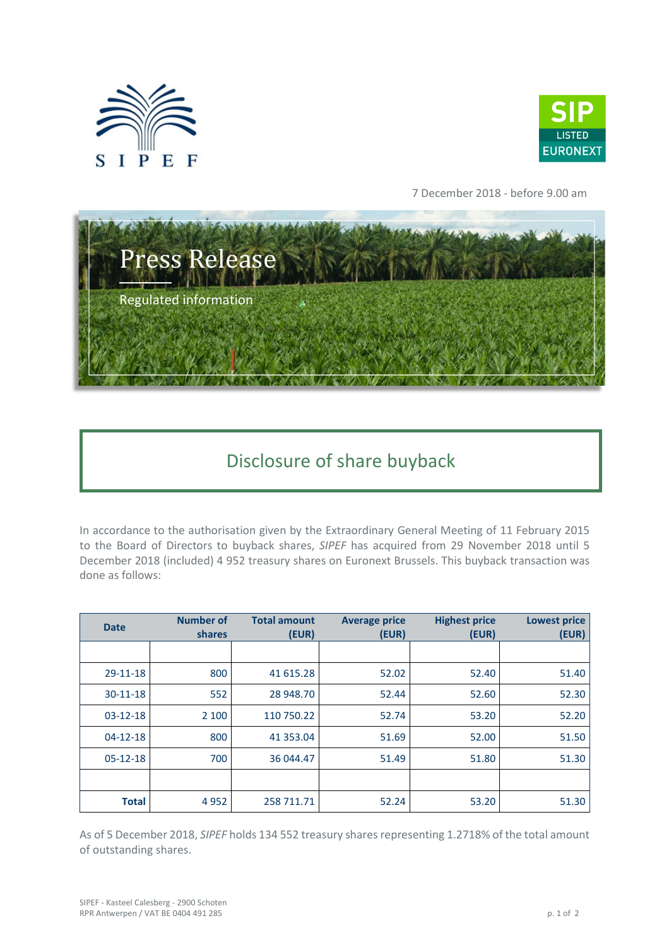



7 December 2018 - before 9.00 am



## Disclosure of share buyback

In accordance to the authorisation given by the Extraordinary General Meeting of 11 February 2015 to the Board of Directors to buyback shares, *SIPEF* has acquired from 29 November 2018 until 5 December 2018 (included) 4 952 treasury shares on Euronext Brussels. This buyback transaction was done as follows:

| <b>Date</b>    | <b>Number of</b><br>shares | <b>Total amount</b><br>(EUR) | <b>Average price</b><br>(EUR) | <b>Highest price</b><br>(EUR) | <b>Lowest price</b><br>(EUR) |
|----------------|----------------------------|------------------------------|-------------------------------|-------------------------------|------------------------------|
|                |                            |                              |                               |                               |                              |
| 29-11-18       | 800                        | 41 615.28                    | 52.02                         | 52.40                         | 51.40                        |
| 30-11-18       | 552                        | 28 948.70                    | 52.44                         | 52.60                         | 52.30                        |
| $03 - 12 - 18$ | 2 100                      | 110 750.22                   | 52.74                         | 53.20                         | 52.20                        |
| $04 - 12 - 18$ | 800                        | 41 353.04                    | 51.69                         | 52.00                         | 51.50                        |
| $05 - 12 - 18$ | 700                        | 36 044.47                    | 51.49                         | 51.80                         | 51.30                        |
|                |                            |                              |                               |                               |                              |
| <b>Total</b>   | 4 9 5 2                    | 258 711.71                   | 52.24                         | 53.20                         | 51.30                        |

As of 5 December 2018, *SIPEF* holds 134 552 treasury shares representing 1.2718% of the total amount of outstanding shares.